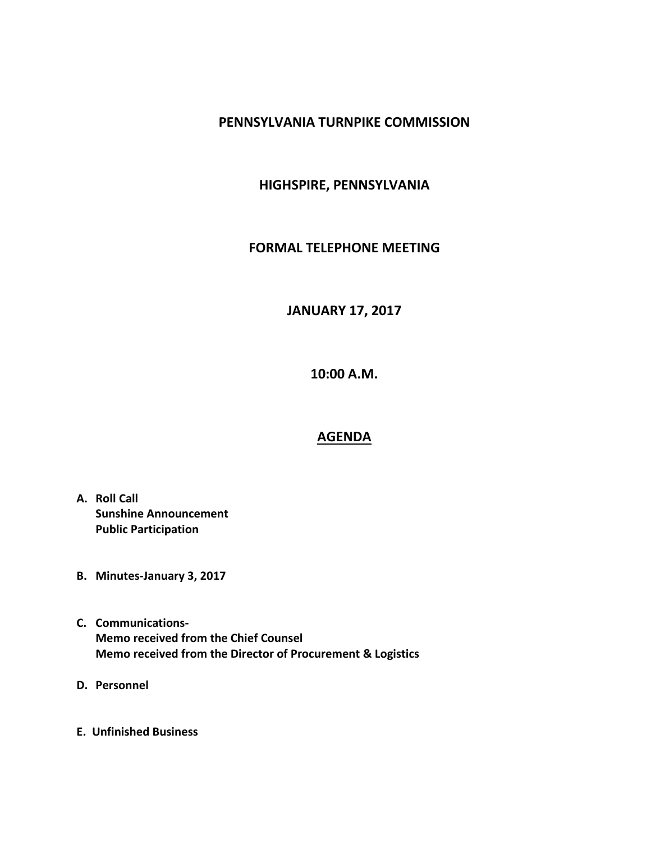### **PENNSYLVANIA TURNPIKE COMMISSION**

## **HIGHSPIRE, PENNSYLVANIA**

### **FORMAL TELEPHONE MEETING**

# **JANUARY 17, 2017**

**10:00 A.M.**

### **AGENDA**

- **A. Roll Call Sunshine Announcement Public Participation**
- **B. Minutes-January 3, 2017**
- **C. Communications-Memo received from the Chief Counsel Memo received from the Director of Procurement & Logistics**
- **D. Personnel**
- **E. Unfinished Business**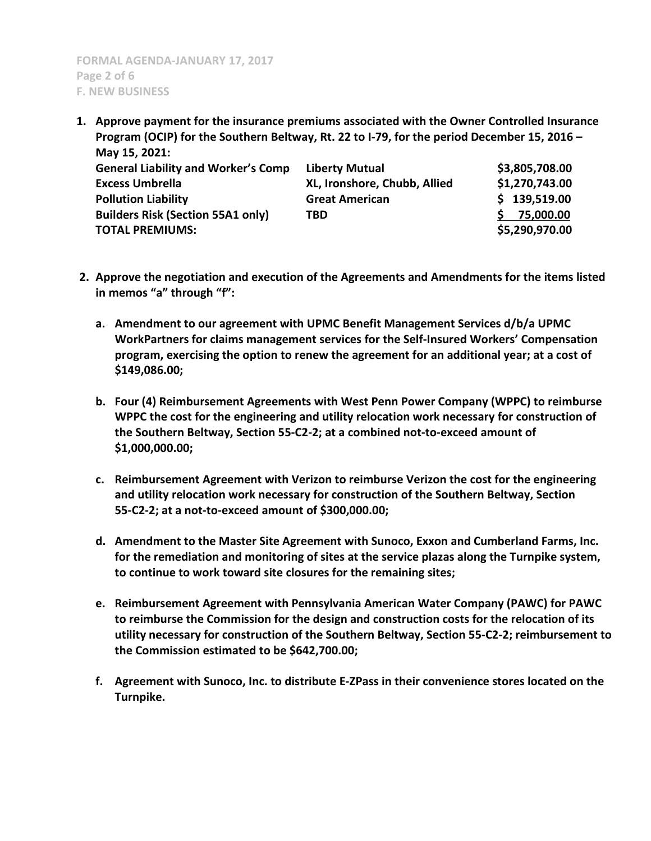**1. Approve payment for the insurance premiums associated with the Owner Controlled Insurance Program (OCIP) for the Southern Beltway, Rt. 22 to I-79, for the period December 15, 2016 – May 15, 2021:**

| IVIUV 19, LVL1,                            |                              |                |
|--------------------------------------------|------------------------------|----------------|
| <b>General Liability and Worker's Comp</b> | <b>Liberty Mutual</b>        | \$3,805,708.00 |
| <b>Excess Umbrella</b>                     | XL, Ironshore, Chubb, Allied | \$1,270,743.00 |
| <b>Pollution Liability</b>                 | <b>Great American</b>        | \$139,519.00   |
| <b>Builders Risk (Section 55A1 only)</b>   | TBD                          | 75,000.00      |
| <b>TOTAL PREMIUMS:</b>                     |                              | \$5,290,970.00 |

- **2. Approve the negotiation and execution of the Agreements and Amendments for the items listed in memos "a" through "f":**
	- **a. Amendment to our agreement with UPMC Benefit Management Services d/b/a UPMC WorkPartners for claims management services for the Self-Insured Workers' Compensation program, exercising the option to renew the agreement for an additional year; at a cost of \$149,086.00;**
	- **b. Four (4) Reimbursement Agreements with West Penn Power Company (WPPC) to reimburse WPPC the cost for the engineering and utility relocation work necessary for construction of the Southern Beltway, Section 55-C2-2; at a combined not-to-exceed amount of \$1,000,000.00;**
	- **c. Reimbursement Agreement with Verizon to reimburse Verizon the cost for the engineering and utility relocation work necessary for construction of the Southern Beltway, Section 55-C2-2; at a not-to-exceed amount of \$300,000.00;**
	- **d. Amendment to the Master Site Agreement with Sunoco, Exxon and Cumberland Farms, Inc. for the remediation and monitoring of sites at the service plazas along the Turnpike system, to continue to work toward site closures for the remaining sites;**
	- **e. Reimbursement Agreement with Pennsylvania American Water Company (PAWC) for PAWC to reimburse the Commission for the design and construction costs for the relocation of its utility necessary for construction of the Southern Beltway, Section 55-C2-2; reimbursement to the Commission estimated to be \$642,700.00;**
	- **f. Agreement with Sunoco, Inc. to distribute E-ZPass in their convenience stores located on the Turnpike.**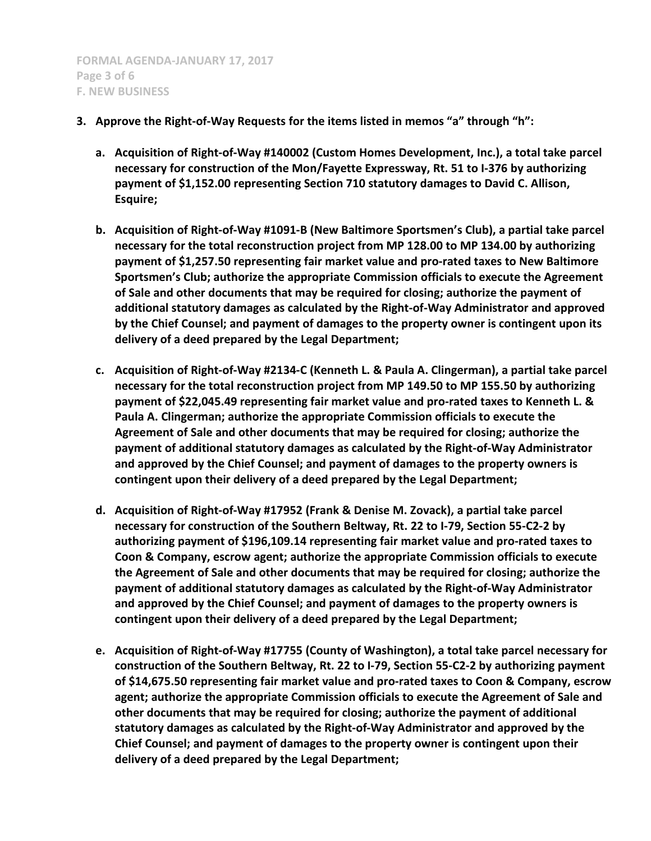- **3. Approve the Right-of-Way Requests for the items listed in memos "a" through "h":**
	- **a. Acquisition of Right-of-Way #140002 (Custom Homes Development, Inc.), a total take parcel necessary for construction of the Mon/Fayette Expressway, Rt. 51 to I-376 by authorizing payment of \$1,152.00 representing Section 710 statutory damages to David C. Allison, Esquire;**
	- **b. Acquisition of Right-of-Way #1091-B (New Baltimore Sportsmen's Club), a partial take parcel necessary for the total reconstruction project from MP 128.00 to MP 134.00 by authorizing payment of \$1,257.50 representing fair market value and pro-rated taxes to New Baltimore Sportsmen's Club; authorize the appropriate Commission officials to execute the Agreement of Sale and other documents that may be required for closing; authorize the payment of additional statutory damages as calculated by the Right-of-Way Administrator and approved by the Chief Counsel; and payment of damages to the property owner is contingent upon its delivery of a deed prepared by the Legal Department;**
	- **c. Acquisition of Right-of-Way #2134-C (Kenneth L. & Paula A. Clingerman), a partial take parcel necessary for the total reconstruction project from MP 149.50 to MP 155.50 by authorizing payment of \$22,045.49 representing fair market value and pro-rated taxes to Kenneth L. & Paula A. Clingerman; authorize the appropriate Commission officials to execute the Agreement of Sale and other documents that may be required for closing; authorize the payment of additional statutory damages as calculated by the Right-of-Way Administrator and approved by the Chief Counsel; and payment of damages to the property owners is contingent upon their delivery of a deed prepared by the Legal Department;**
	- **d. Acquisition of Right-of-Way #17952 (Frank & Denise M. Zovack), a partial take parcel necessary for construction of the Southern Beltway, Rt. 22 to I-79, Section 55-C2-2 by authorizing payment of \$196,109.14 representing fair market value and pro-rated taxes to Coon & Company, escrow agent; authorize the appropriate Commission officials to execute the Agreement of Sale and other documents that may be required for closing; authorize the payment of additional statutory damages as calculated by the Right-of-Way Administrator and approved by the Chief Counsel; and payment of damages to the property owners is contingent upon their delivery of a deed prepared by the Legal Department;**
	- **e. Acquisition of Right-of-Way #17755 (County of Washington), a total take parcel necessary for construction of the Southern Beltway, Rt. 22 to I-79, Section 55-C2-2 by authorizing payment of \$14,675.50 representing fair market value and pro-rated taxes to Coon & Company, escrow agent; authorize the appropriate Commission officials to execute the Agreement of Sale and other documents that may be required for closing; authorize the payment of additional statutory damages as calculated by the Right-of-Way Administrator and approved by the Chief Counsel; and payment of damages to the property owner is contingent upon their delivery of a deed prepared by the Legal Department;**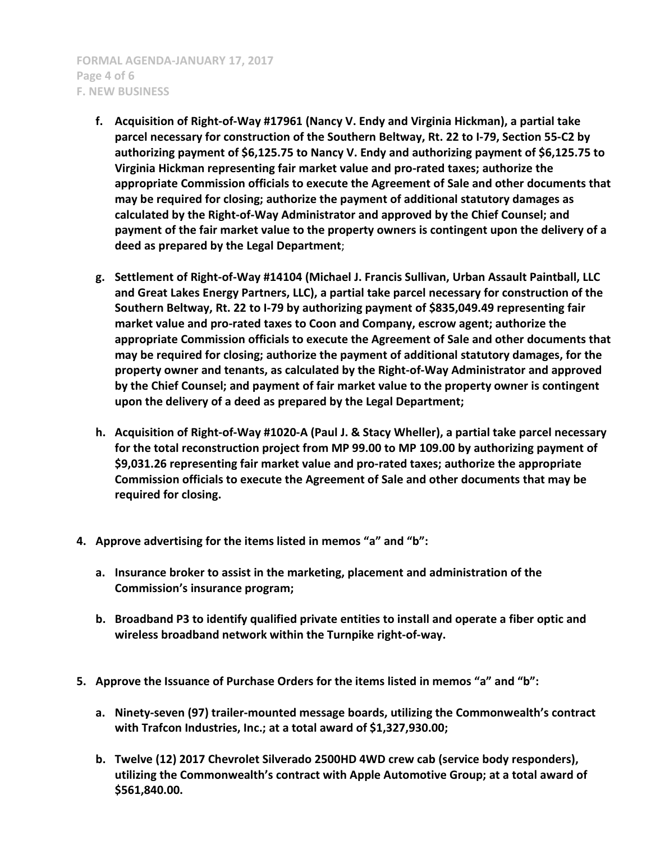**FORMAL AGENDA-JANUARY 17, 2017 Page 4 of 6 F. NEW BUSINESS**

- **f. Acquisition of Right-of-Way #17961 (Nancy V. Endy and Virginia Hickman), a partial take parcel necessary for construction of the Southern Beltway, Rt. 22 to I-79, Section 55-C2 by authorizing payment of \$6,125.75 to Nancy V. Endy and authorizing payment of \$6,125.75 to Virginia Hickman representing fair market value and pro-rated taxes; authorize the appropriate Commission officials to execute the Agreement of Sale and other documents that may be required for closing; authorize the payment of additional statutory damages as calculated by the Right-of-Way Administrator and approved by the Chief Counsel; and payment of the fair market value to the property owners is contingent upon the delivery of a deed as prepared by the Legal Department**;
- **g. Settlement of Right-of-Way #14104 (Michael J. Francis Sullivan, Urban Assault Paintball, LLC and Great Lakes Energy Partners, LLC), a partial take parcel necessary for construction of the Southern Beltway, Rt. 22 to I-79 by authorizing payment of \$835,049.49 representing fair market value and pro-rated taxes to Coon and Company, escrow agent; authorize the appropriate Commission officials to execute the Agreement of Sale and other documents that may be required for closing; authorize the payment of additional statutory damages, for the property owner and tenants, as calculated by the Right-of-Way Administrator and approved by the Chief Counsel; and payment of fair market value to the property owner is contingent upon the delivery of a deed as prepared by the Legal Department;**
- **h. Acquisition of Right-of-Way #1020-A (Paul J. & Stacy Wheller), a partial take parcel necessary for the total reconstruction project from MP 99.00 to MP 109.00 by authorizing payment of \$9,031.26 representing fair market value and pro-rated taxes; authorize the appropriate Commission officials to execute the Agreement of Sale and other documents that may be required for closing.**
- **4. Approve advertising for the items listed in memos "a" and "b":**
	- **a. Insurance broker to assist in the marketing, placement and administration of the Commission's insurance program;**
	- **b. Broadband P3 to identify qualified private entities to install and operate a fiber optic and wireless broadband network within the Turnpike right-of-way.**
- **5. Approve the Issuance of Purchase Orders for the items listed in memos "a" and "b":**
	- **a. Ninety-seven (97) trailer-mounted message boards, utilizing the Commonwealth's contract with Trafcon Industries, Inc.; at a total award of \$1,327,930.00;**
	- **b. Twelve (12) 2017 Chevrolet Silverado 2500HD 4WD crew cab (service body responders), utilizing the Commonwealth's contract with Apple Automotive Group; at a total award of \$561,840.00.**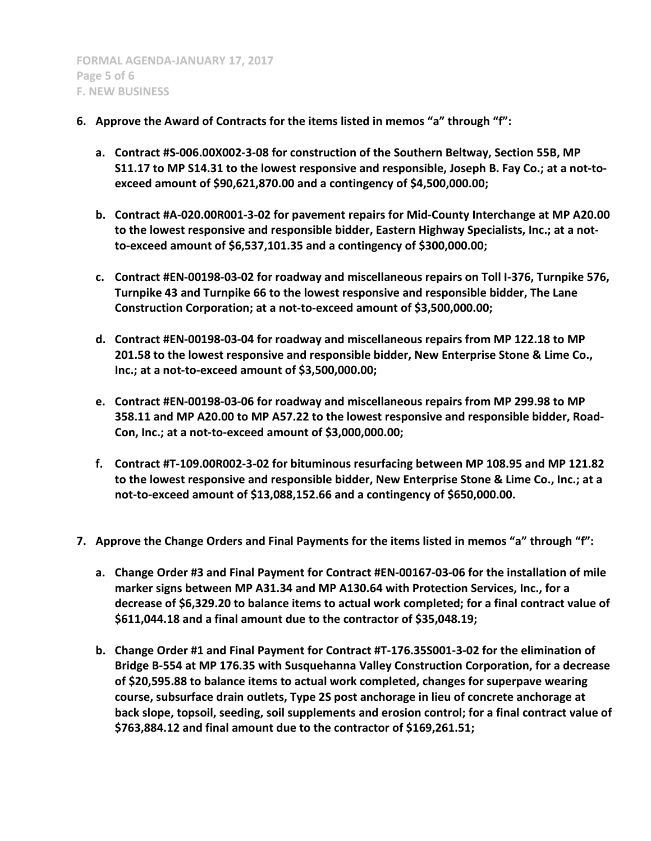- **6. Approve the Award of Contracts for the items listed in memos "a" through "f":**
	- **a. Contract #S-006.00X002-3-08 for construction of the Southern Beltway, Section 55B, MP S11.17 to MP S14.31 to the lowest responsive and responsible, Joseph B. Fay Co.; at a not-toexceed amount of \$90,621,870.00 and a contingency of \$4,500,000.00;**
	- **b. Contract #A-020.00R001-3-02 for pavement repairs for Mid-County Interchange at MP A20.00 to the lowest responsive and responsible bidder, Eastern Highway Specialists, Inc.; at a notto-exceed amount of \$6,537,101.35 and a contingency of \$300,000.00;**
	- **c. Contract #EN-00198-03-02 for roadway and miscellaneous repairs on Toll I-376, Turnpike 576, Turnpike 43 and Turnpike 66 to the lowest responsive and responsible bidder, The Lane Construction Corporation; at a not-to-exceed amount of \$3,500,000.00;**
	- **d. Contract #EN-00198-03-04 for roadway and miscellaneous repairs from MP 122.18 to MP 201.58 to the lowest responsive and responsible bidder, New Enterprise Stone & Lime Co., Inc.; at a not-to-exceed amount of \$3,500,000.00;**
	- **e. Contract #EN-00198-03-06 for roadway and miscellaneous repairs from MP 299.98 to MP 358.11 and MP A20.00 to MP A57.22 to the lowest responsive and responsible bidder, Road-Con, Inc.; at a not-to-exceed amount of \$3,000,000.00;**
	- **f. Contract #T-109.00R002-3-02 for bituminous resurfacing between MP 108.95 and MP 121.82 to the lowest responsive and responsible bidder, New Enterprise Stone & Lime Co., Inc.; at a not-to-exceed amount of \$13,088,152.66 and a contingency of \$650,000.00.**
- **7. Approve the Change Orders and Final Payments for the items listed in memos "a" through "f":**
	- **a. Change Order #3 and Final Payment for Contract #EN-00167-03-06 for the installation of mile marker signs between MP A31.34 and MP A130.64 with Protection Services, Inc., for a decrease of \$6,329.20 to balance items to actual work completed; for a final contract value of \$611,044.18 and a final amount due to the contractor of \$35,048.19;**
	- **b. Change Order #1 and Final Payment for Contract #T-176.35S001-3-02 for the elimination of Bridge B-554 at MP 176.35 with Susquehanna Valley Construction Corporation, for a decrease of \$20,595.88 to balance items to actual work completed, changes for superpave wearing course, subsurface drain outlets, Type 2S post anchorage in lieu of concrete anchorage at back slope, topsoil, seeding, soil supplements and erosion control; for a final contract value of \$763,884.12 and final amount due to the contractor of \$169,261.51;**